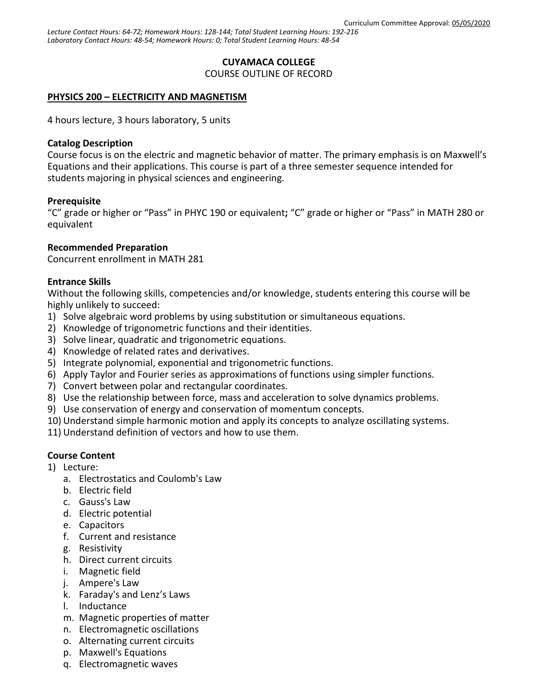# **CUYAMACA COLLEGE**

COURSE OUTLINE OF RECORD

# **PHYSICS 200 – ELECTRICITY AND MAGNETISM**

4 hours lecture, 3 hours laboratory, 5 units

### **Catalog Description**

Course focus is on the electric and magnetic behavior of matter. The primary emphasis is on Maxwell's Equations and their applications. This course is part of a three semester sequence intended for students majoring in physical sciences and engineering.

### **Prerequisite**

"C" grade or higher or "Pass" in PHYC 190 or equivalent**;** "C" grade or higher or "Pass" in MATH 280 or equivalent

# **Recommended Preparation**

Concurrent enrollment in MATH 281

### **Entrance Skills**

Without the following skills, competencies and/or knowledge, students entering this course will be highly unlikely to succeed:

- 1) Solve algebraic word problems by using substitution or simultaneous equations.
- 2) Knowledge of trigonometric functions and their identities.
- 3) Solve linear, quadratic and trigonometric equations.
- 4) Knowledge of related rates and derivatives.
- 5) Integrate polynomial, exponential and trigonometric functions.
- 6) Apply Taylor and Fourier series as approximations of functions using simpler functions.
- 7) Convert between polar and rectangular coordinates.
- 8) Use the relationship between force, mass and acceleration to solve dynamics problems.
- 9) Use conservation of energy and conservation of momentum concepts.
- 10) Understand simple harmonic motion and apply its concepts to analyze oscillating systems.
- 11) Understand definition of vectors and how to use them.

# **Course Content**

- 1) Lecture:
	- a. Electrostatics and Coulomb's Law
	- b. Electric field
	- c. Gauss's Law
	- d. Electric potential
	- e. Capacitors
	- f. Current and resistance
	- g. Resistivity
	- h. Direct current circuits
	- i. Magnetic field
	- j. Ampere's Law
	- k. Faraday's and Lenz's Laws
	- l. Inductance
	- m. Magnetic properties of matter
	- n. Electromagnetic oscillations
	- o. Alternating current circuits
	- p. Maxwell's Equations
	- q. Electromagnetic waves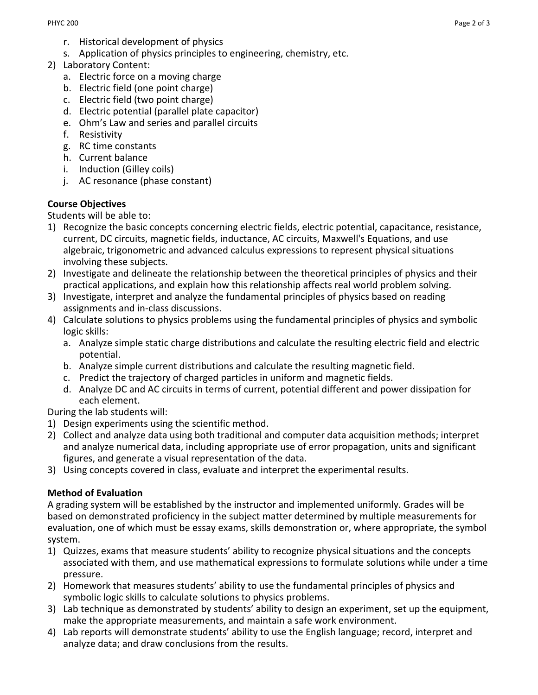- r. Historical development of physics
- s. Application of physics principles to engineering, chemistry, etc.
- 2) Laboratory Content:
	- a. Electric force on a moving charge
	- b. Electric field (one point charge)
	- c. Electric field (two point charge)
	- d. Electric potential (parallel plate capacitor)
	- e. Ohm's Law and series and parallel circuits
	- f. Resistivity
	- g. RC time constants
	- h. Current balance
	- i. Induction (Gilley coils)
	- j. AC resonance (phase constant)

# **Course Objectives**

Students will be able to:

- 1) Recognize the basic concepts concerning electric fields, electric potential, capacitance, resistance, current, DC circuits, magnetic fields, inductance, AC circuits, Maxwell's Equations, and use algebraic, trigonometric and advanced calculus expressions to represent physical situations involving these subjects.
- 2) Investigate and delineate the relationship between the theoretical principles of physics and their practical applications, and explain how this relationship affects real world problem solving.
- 3) Investigate, interpret and analyze the fundamental principles of physics based on reading assignments and in-class discussions.
- 4) Calculate solutions to physics problems using the fundamental principles of physics and symbolic logic skills:
	- a. Analyze simple static charge distributions and calculate the resulting electric field and electric potential.
	- b. Analyze simple current distributions and calculate the resulting magnetic field.
	- c. Predict the trajectory of charged particles in uniform and magnetic fields.
	- d. Analyze DC and AC circuits in terms of current, potential different and power dissipation for each element.

During the lab students will:

- 1) Design experiments using the scientific method.
- 2) Collect and analyze data using both traditional and computer data acquisition methods; interpret and analyze numerical data, including appropriate use of error propagation, units and significant figures, and generate a visual representation of the data.
- 3) Using concepts covered in class, evaluate and interpret the experimental results.

# **Method of Evaluation**

A grading system will be established by the instructor and implemented uniformly. Grades will be based on demonstrated proficiency in the subject matter determined by multiple measurements for evaluation, one of which must be essay exams, skills demonstration or, where appropriate, the symbol system.

- 1) Quizzes, exams that measure students' ability to recognize physical situations and the concepts associated with them, and use mathematical expressions to formulate solutions while under a time pressure.
- 2) Homework that measures students' ability to use the fundamental principles of physics and symbolic logic skills to calculate solutions to physics problems.
- 3) Lab technique as demonstrated by students' ability to design an experiment, set up the equipment, make the appropriate measurements, and maintain a safe work environment.
- 4) Lab reports will demonstrate students' ability to use the English language; record, interpret and analyze data; and draw conclusions from the results.